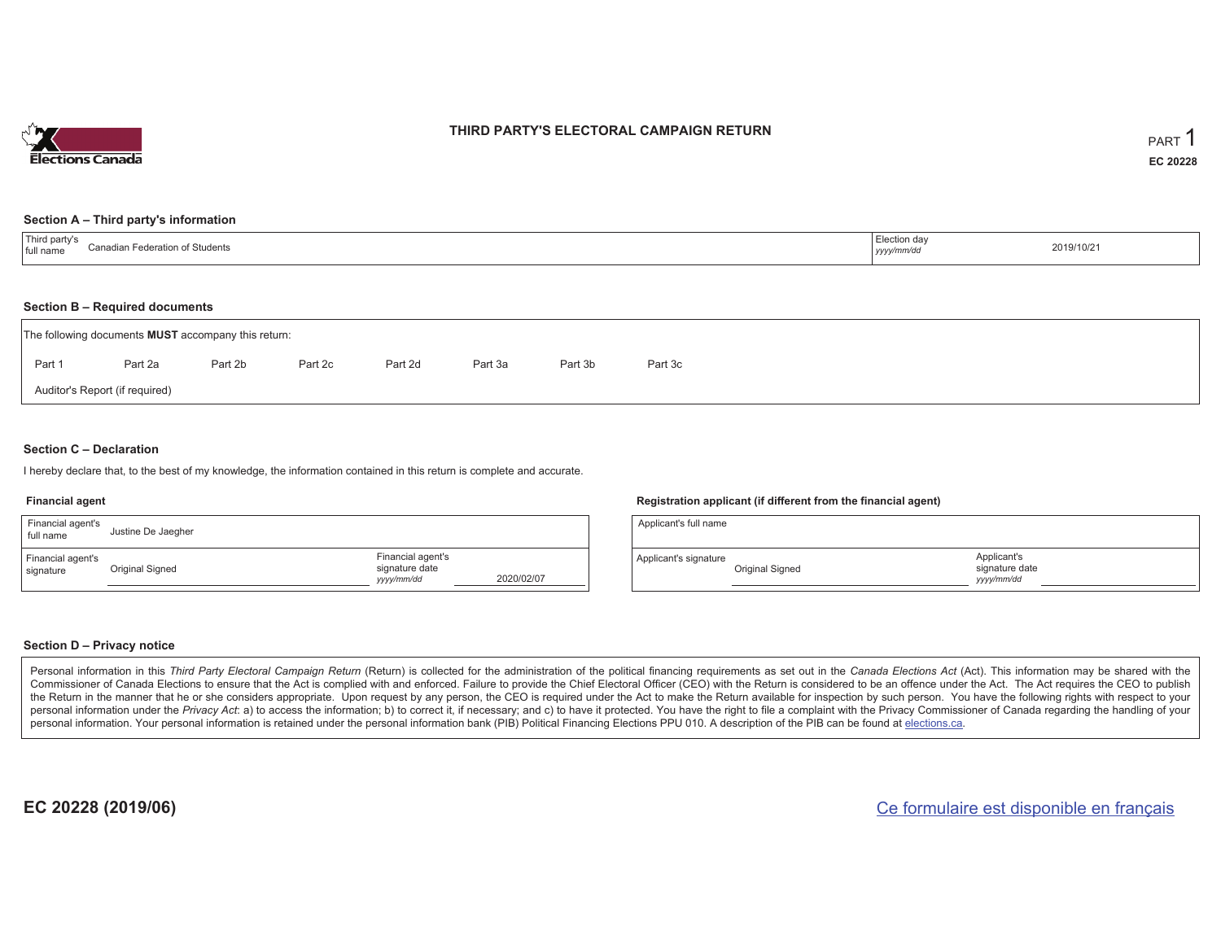

### **THIRD PARTY'S ELECTORAL CAMPAIGN RETURN**

#### **Section A – Third party's information**

| <sup>'</sup> Third party s<br>Conodio.<br>Federation of Students<br>full name<br>iaulal i Feue | Election day<br>yyyy/mm/dd | 2019/10/21 |
|------------------------------------------------------------------------------------------------|----------------------------|------------|
|------------------------------------------------------------------------------------------------|----------------------------|------------|

#### **Section B – Required documents**

|                                | The following documents <b>MUST</b> accompany this return: |         |         |         |         |         |         |  |  |  |  |  |  |
|--------------------------------|------------------------------------------------------------|---------|---------|---------|---------|---------|---------|--|--|--|--|--|--|
| Part 1                         | Part 2a                                                    | Part 2b | Part 2c | Part 2d | Part 3a | Part 3b | Part 3c |  |  |  |  |  |  |
| Auditor's Report (if required) |                                                            |         |         |         |         |         |         |  |  |  |  |  |  |

### **Section C – Declaration**

I hereby declare that, to the best of my knowledge, the information contained in this return is complete and accurate.

#### **Financial agent**

| Financial agent's<br>full name | Justine De Jaegher |                                                   |            |
|--------------------------------|--------------------|---------------------------------------------------|------------|
| Financial agent's<br>signature | Original Signed    | Financial agent's<br>signature date<br>yyyy/mm/dd | 2020/02/07 |

#### **Registration applicant (if different from the financial agent)**

| Applicant's full name |                 |                                             |  |
|-----------------------|-----------------|---------------------------------------------|--|
| Applicant's signature | Original Signed | Applicant's<br>signature date<br>vyyy/mm/dd |  |

### **Section D – Privacy notice**

Personal information in this Third Party Electoral Campaign Return (Return) is collected for the administration of the political financing requirements as set out in the Canada Elections Act (Act). This information may be Commissioner of Canada Elections to ensure that the Act is complied with and enforced. Failure to provide the Chief Electoral Officer (CEO) with the Return is considered to be an offence under the Act. The Act requires the the Return in the manner that he or she considers appropriate. Upon request by any person, the CEO is required under the Act to make the Return available for inspection by such person. You have the following rights with re personal information under the Privacy Act: a) to access the information; b) to correct it, if necessary; and c) to have it protected. You have the right to file a complaint with the Privacy Commissioner of Canada regardin personal information. Your personal information is retained under the personal information bank (PIB) Political Financing Elections PPU 010. A description of the PIB can be found at elections.ca.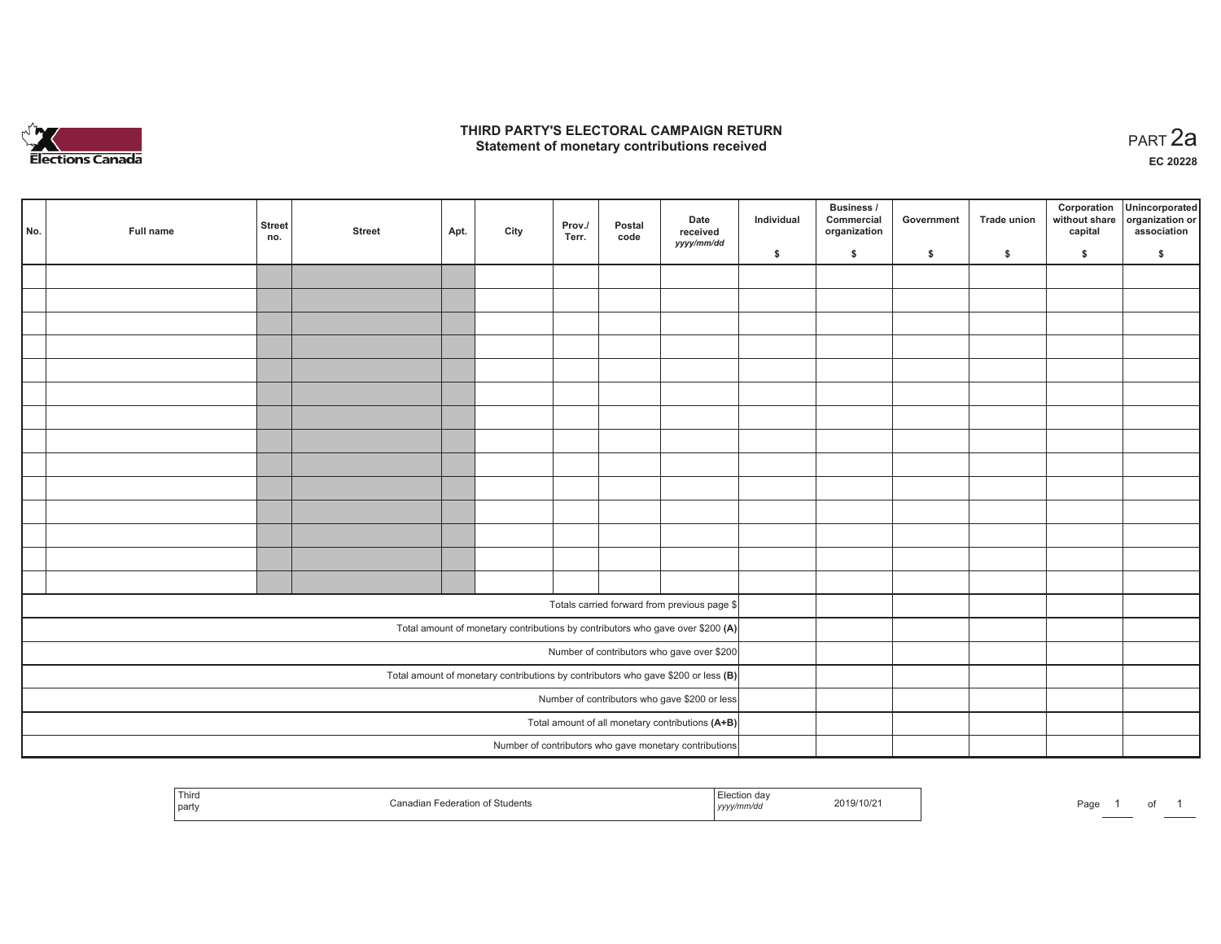

## **THIRD PARTY'S ELECTORAL CAMPAIGN RETURN HIRD PARTY'S ELECTORAL CAMPAIGN RETURN<br>Statement of monetary contributions received PART 2a**

**EC 20228**

| No. |                                                                                     | Full name | <b>Street</b><br>no. | <b>Street</b>                                 | Apt. | City | Prov./<br>Terr. | Postal<br>code | Date<br>received<br>yyyy/mm/dd                                                 | Individual | <b>Business /</b><br>Commercial<br>organization | Government | Trade union | Corporation<br>capital | Unincorporated<br>without share organization or<br>association |
|-----|-------------------------------------------------------------------------------------|-----------|----------------------|-----------------------------------------------|------|------|-----------------|----------------|--------------------------------------------------------------------------------|------------|-------------------------------------------------|------------|-------------|------------------------|----------------------------------------------------------------|
|     |                                                                                     |           |                      |                                               |      |      |                 |                |                                                                                | \$         | \$                                              | \$         | \$          | \$                     | \$                                                             |
|     |                                                                                     |           |                      |                                               |      |      |                 |                |                                                                                |            |                                                 |            |             |                        |                                                                |
|     |                                                                                     |           |                      |                                               |      |      |                 |                |                                                                                |            |                                                 |            |             |                        |                                                                |
|     |                                                                                     |           |                      |                                               |      |      |                 |                |                                                                                |            |                                                 |            |             |                        |                                                                |
|     |                                                                                     |           |                      |                                               |      |      |                 |                |                                                                                |            |                                                 |            |             |                        |                                                                |
|     |                                                                                     |           |                      |                                               |      |      |                 |                |                                                                                |            |                                                 |            |             |                        |                                                                |
|     |                                                                                     |           |                      |                                               |      |      |                 |                |                                                                                |            |                                                 |            |             |                        |                                                                |
|     |                                                                                     |           |                      |                                               |      |      |                 |                |                                                                                |            |                                                 |            |             |                        |                                                                |
|     |                                                                                     |           |                      |                                               |      |      |                 |                |                                                                                |            |                                                 |            |             |                        |                                                                |
|     |                                                                                     |           |                      |                                               |      |      |                 |                |                                                                                |            |                                                 |            |             |                        |                                                                |
|     |                                                                                     |           |                      |                                               |      |      |                 |                |                                                                                |            |                                                 |            |             |                        |                                                                |
|     |                                                                                     |           |                      |                                               |      |      |                 |                |                                                                                |            |                                                 |            |             |                        |                                                                |
|     |                                                                                     |           |                      |                                               |      |      |                 |                |                                                                                |            |                                                 |            |             |                        |                                                                |
|     |                                                                                     |           |                      |                                               |      |      |                 |                |                                                                                |            |                                                 |            |             |                        |                                                                |
|     |                                                                                     |           |                      |                                               |      |      |                 |                |                                                                                |            |                                                 |            |             |                        |                                                                |
|     |                                                                                     |           |                      |                                               |      |      |                 |                |                                                                                |            |                                                 |            |             |                        |                                                                |
|     |                                                                                     |           |                      |                                               |      |      |                 |                | Totals carried forward from previous page \$                                   |            |                                                 |            |             |                        |                                                                |
|     |                                                                                     |           |                      |                                               |      |      |                 |                | Total amount of monetary contributions by contributors who gave over \$200 (A) |            |                                                 |            |             |                        |                                                                |
|     |                                                                                     |           |                      | Number of contributors who gave over \$200    |      |      |                 |                |                                                                                |            |                                                 |            |             |                        |                                                                |
|     | Total amount of monetary contributions by contributors who gave \$200 or less $(B)$ |           |                      |                                               |      |      |                 |                |                                                                                |            |                                                 |            |             |                        |                                                                |
|     |                                                                                     |           |                      | Number of contributors who gave \$200 or less |      |      |                 |                |                                                                                |            |                                                 |            |             |                        |                                                                |
|     |                                                                                     |           |                      |                                               |      |      |                 |                | Total amount of all monetary contributions (A+B)                               |            |                                                 |            |             |                        |                                                                |
|     |                                                                                     |           |                      |                                               |      |      |                 |                | Number of contributors who gave monetary contributions                         |            |                                                 |            |             |                        |                                                                |

| Third<br>  party | Federation of Students | Election dav<br>2019/10/2<br><sub>i</sub> yyyy/mm/dd | Page |
|------------------|------------------------|------------------------------------------------------|------|
|------------------|------------------------|------------------------------------------------------|------|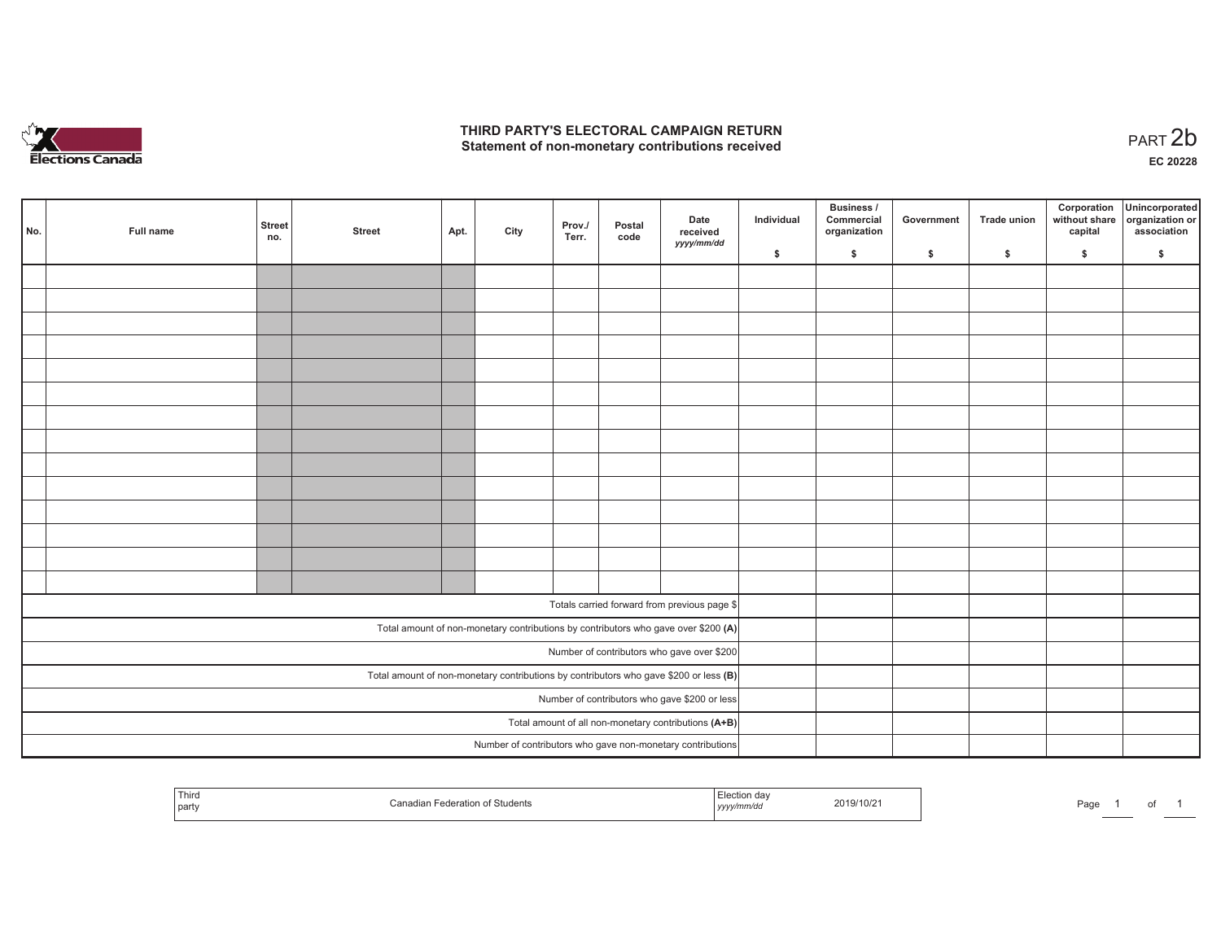

## **THIRD PARTY'S ELECTORAL CAMPAIGN RETURN**  THIRD PARTY'S ELECTORAL CAMPAIGN RETURN<br>Statement of non-monetary contributions received<br> **PART 2b**

of 1

| No. | Full name | <b>Street</b><br>no.                                                                    | <b>Street</b> | Apt. | City | Prov./<br>Terr. | Postal<br>code | Date<br>received<br>yyyy/mm/dd                                                     | Individual | <b>Business /</b><br>Commercial<br>organization | Government | Trade union | Corporation<br>capital | Unincorporated<br>without share organization or<br>association |
|-----|-----------|-----------------------------------------------------------------------------------------|---------------|------|------|-----------------|----------------|------------------------------------------------------------------------------------|------------|-------------------------------------------------|------------|-------------|------------------------|----------------------------------------------------------------|
|     |           |                                                                                         |               |      |      |                 |                |                                                                                    | \$         | \$                                              | \$         | \$          | \$                     | \$                                                             |
|     |           |                                                                                         |               |      |      |                 |                |                                                                                    |            |                                                 |            |             |                        |                                                                |
|     |           |                                                                                         |               |      |      |                 |                |                                                                                    |            |                                                 |            |             |                        |                                                                |
|     |           |                                                                                         |               |      |      |                 |                |                                                                                    |            |                                                 |            |             |                        |                                                                |
|     |           |                                                                                         |               |      |      |                 |                |                                                                                    |            |                                                 |            |             |                        |                                                                |
|     |           |                                                                                         |               |      |      |                 |                |                                                                                    |            |                                                 |            |             |                        |                                                                |
|     |           |                                                                                         |               |      |      |                 |                |                                                                                    |            |                                                 |            |             |                        |                                                                |
|     |           |                                                                                         |               |      |      |                 |                |                                                                                    |            |                                                 |            |             |                        |                                                                |
|     |           |                                                                                         |               |      |      |                 |                |                                                                                    |            |                                                 |            |             |                        |                                                                |
|     |           |                                                                                         |               |      |      |                 |                |                                                                                    |            |                                                 |            |             |                        |                                                                |
|     |           |                                                                                         |               |      |      |                 |                |                                                                                    |            |                                                 |            |             |                        |                                                                |
|     |           |                                                                                         |               |      |      |                 |                |                                                                                    |            |                                                 |            |             |                        |                                                                |
|     |           |                                                                                         |               |      |      |                 |                |                                                                                    |            |                                                 |            |             |                        |                                                                |
|     |           |                                                                                         |               |      |      |                 |                |                                                                                    |            |                                                 |            |             |                        |                                                                |
|     |           |                                                                                         |               |      |      |                 |                |                                                                                    |            |                                                 |            |             |                        |                                                                |
|     |           |                                                                                         |               |      |      |                 |                | Totals carried forward from previous page \$                                       |            |                                                 |            |             |                        |                                                                |
|     |           |                                                                                         |               |      |      |                 |                |                                                                                    |            |                                                 |            |             |                        |                                                                |
|     |           |                                                                                         |               |      |      |                 |                | Total amount of non-monetary contributions by contributors who gave over \$200 (A) |            |                                                 |            |             |                        |                                                                |
|     |           |                                                                                         |               |      |      |                 |                | Number of contributors who gave over \$200                                         |            |                                                 |            |             |                        |                                                                |
|     |           | Total amount of non-monetary contributions by contributors who gave \$200 or less $(B)$ |               |      |      |                 |                |                                                                                    |            |                                                 |            |             |                        |                                                                |
|     |           | Number of contributors who gave \$200 or less                                           |               |      |      |                 |                |                                                                                    |            |                                                 |            |             |                        |                                                                |
|     |           |                                                                                         |               |      |      |                 |                | Total amount of all non-monetary contributions (A+B)                               |            |                                                 |            |             |                        |                                                                |
|     |           |                                                                                         |               |      |      |                 |                | Number of contributors who gave non-monetary contributions                         |            |                                                 |            |             |                        |                                                                |

| Third<br>  part | Students<br>ашаг<br>-0-12110 | Election da∖<br>winnivuc<br>,,,,, | 2019/10/21 | Page |  |
|-----------------|------------------------------|-----------------------------------|------------|------|--|
|-----------------|------------------------------|-----------------------------------|------------|------|--|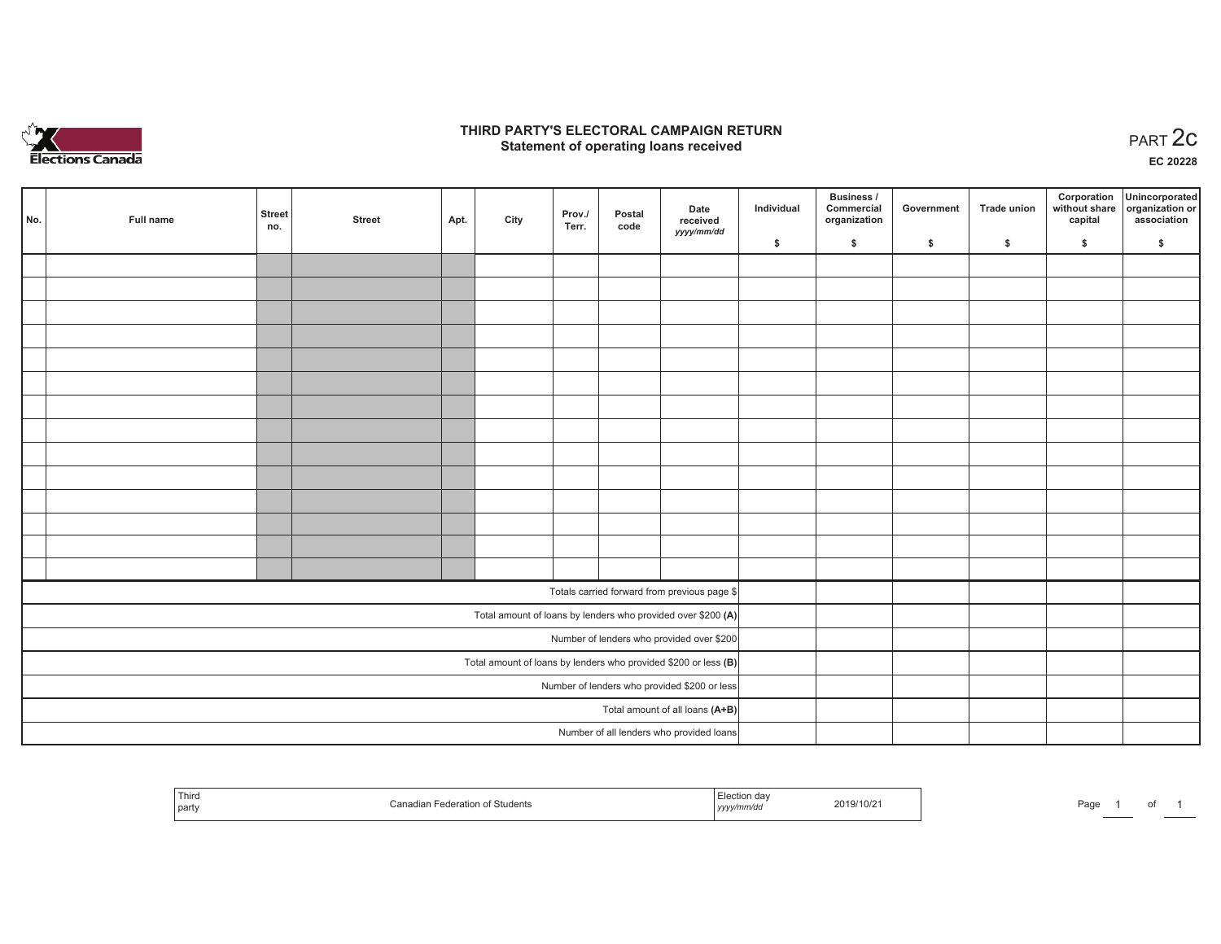

## **THIRD PARTY'S ELECTORAL CAMPAIGN RETURN STATE:** PARTY'S ELECTORAL CAMPAIGN RETURN<br>
Statement of operating loans received

**EC 20228**

|                                              |           |                                                                   |               |      |      |                 |                |                                                              |            | Business /                 |            |                    | Corporation | Unincorporated                               |
|----------------------------------------------|-----------|-------------------------------------------------------------------|---------------|------|------|-----------------|----------------|--------------------------------------------------------------|------------|----------------------------|------------|--------------------|-------------|----------------------------------------------|
| No.                                          | Full name | Street<br>no.                                                     | <b>Street</b> | Apt. | City | Prov./<br>Terr. | Postal<br>code | Date<br>received                                             | Individual | Commercial<br>organization | Government | <b>Trade union</b> | capital     | without share organization or<br>association |
|                                              |           |                                                                   |               |      |      |                 |                | yyyy/mm/dd                                                   | \$         | \$                         | \$         | $\sqrt{2}$         | \$          | \$                                           |
|                                              |           |                                                                   |               |      |      |                 |                |                                                              |            |                            |            |                    |             |                                              |
|                                              |           |                                                                   |               |      |      |                 |                |                                                              |            |                            |            |                    |             |                                              |
|                                              |           |                                                                   |               |      |      |                 |                |                                                              |            |                            |            |                    |             |                                              |
|                                              |           |                                                                   |               |      |      |                 |                |                                                              |            |                            |            |                    |             |                                              |
|                                              |           |                                                                   |               |      |      |                 |                |                                                              |            |                            |            |                    |             |                                              |
|                                              |           |                                                                   |               |      |      |                 |                |                                                              |            |                            |            |                    |             |                                              |
|                                              |           |                                                                   |               |      |      |                 |                |                                                              |            |                            |            |                    |             |                                              |
|                                              |           |                                                                   |               |      |      |                 |                |                                                              |            |                            |            |                    |             |                                              |
|                                              |           |                                                                   |               |      |      |                 |                |                                                              |            |                            |            |                    |             |                                              |
|                                              |           |                                                                   |               |      |      |                 |                |                                                              |            |                            |            |                    |             |                                              |
|                                              |           |                                                                   |               |      |      |                 |                |                                                              |            |                            |            |                    |             |                                              |
|                                              |           |                                                                   |               |      |      |                 |                |                                                              |            |                            |            |                    |             |                                              |
|                                              |           |                                                                   |               |      |      |                 |                |                                                              |            |                            |            |                    |             |                                              |
|                                              |           |                                                                   |               |      |      |                 |                |                                                              |            |                            |            |                    |             |                                              |
|                                              |           |                                                                   |               |      |      |                 |                | Totals carried forward from previous page \$                 |            |                            |            |                    |             |                                              |
|                                              |           |                                                                   |               |      |      |                 |                | Total amount of loans by lenders who provided over \$200 (A) |            |                            |            |                    |             |                                              |
|                                              |           | Number of lenders who provided over \$200                         |               |      |      |                 |                |                                                              |            |                            |            |                    |             |                                              |
|                                              |           | Total amount of loans by lenders who provided \$200 or less $(B)$ |               |      |      |                 |                |                                                              |            |                            |            |                    |             |                                              |
| Number of lenders who provided \$200 or less |           |                                                                   |               |      |      |                 |                |                                                              |            |                            |            |                    |             |                                              |
|                                              |           |                                                                   |               |      |      |                 |                | Total amount of all loans (A+B)                              |            |                            |            |                    |             |                                              |
|                                              |           |                                                                   |               |      |      |                 |                | Number of all lenders who provided loans                     |            |                            |            |                    |             |                                              |

| <b>STATISTICS</b><br>Third<br>  part | Students<br>adoration.<br>-ratic<br>ເດເລເ | ection day<br>,,,,, | 019/10/2 | $D^{\alpha}$<br>-au<br>-- |  |
|--------------------------------------|-------------------------------------------|---------------------|----------|---------------------------|--|
|--------------------------------------|-------------------------------------------|---------------------|----------|---------------------------|--|

of 1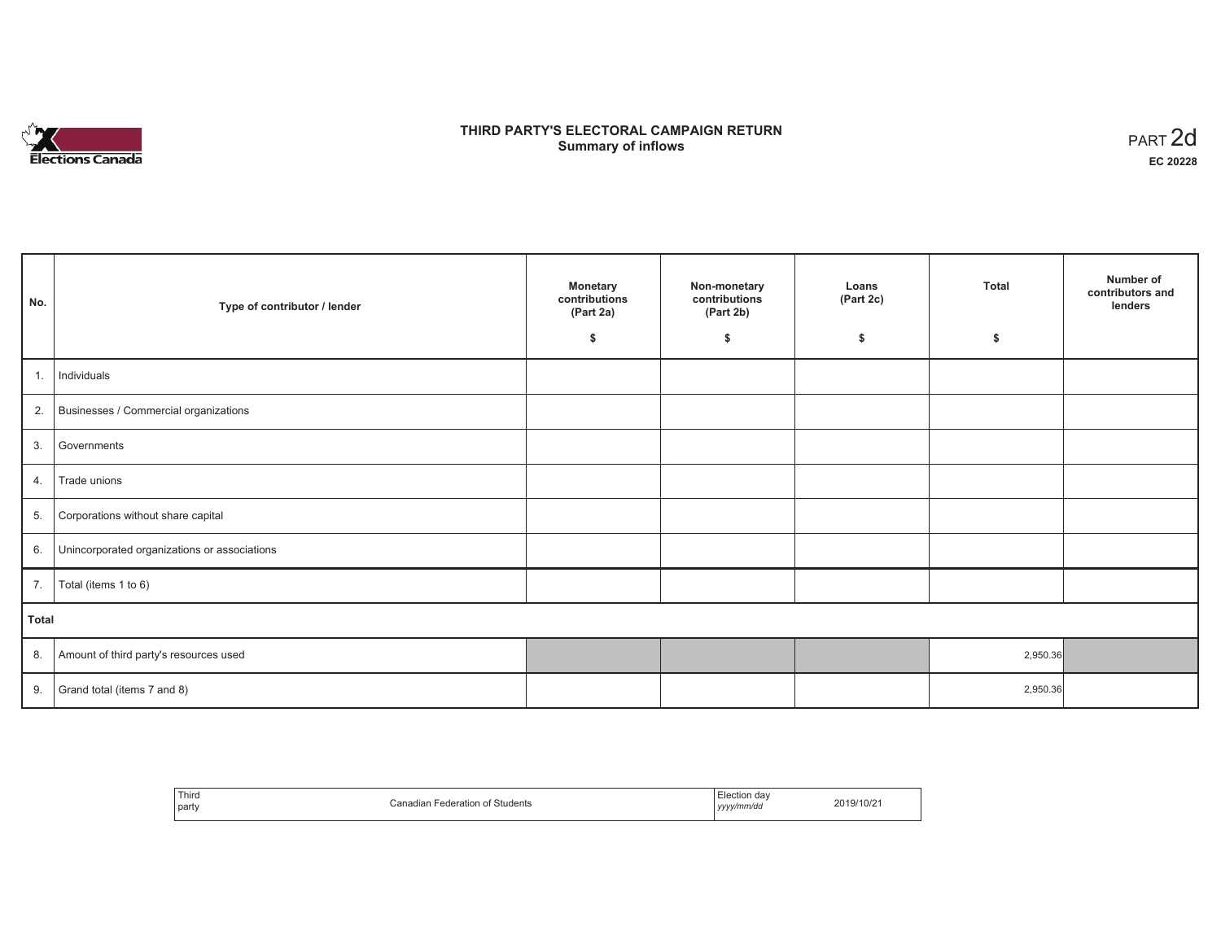

# **THIRD PARTY'S ELECTORAL CAMPAIGN RETURN S** ELECTORAL CAMPAIGN RETURN<br>Summary of inflows PART 2d

| No.   | Type of contributor / lender                 | <b>Monetary</b><br>contributions<br>(Part 2a)<br>\$ | Non-monetary<br>contributions<br>(Part 2b)<br>\$ | Loans<br>(Part 2c)<br>\$ | <b>Total</b><br>\$ | Number of<br>contributors and<br>lenders |
|-------|----------------------------------------------|-----------------------------------------------------|--------------------------------------------------|--------------------------|--------------------|------------------------------------------|
|       |                                              |                                                     |                                                  |                          |                    |                                          |
| 1.    | Individuals                                  |                                                     |                                                  |                          |                    |                                          |
|       | 2. Businesses / Commercial organizations     |                                                     |                                                  |                          |                    |                                          |
| 3.    | Governments                                  |                                                     |                                                  |                          |                    |                                          |
| 4.    | Trade unions                                 |                                                     |                                                  |                          |                    |                                          |
| 5.    | Corporations without share capital           |                                                     |                                                  |                          |                    |                                          |
| 6.    | Unincorporated organizations or associations |                                                     |                                                  |                          |                    |                                          |
| 7.    | Total (items 1 to 6)                         |                                                     |                                                  |                          |                    |                                          |
| Total |                                              |                                                     |                                                  |                          |                    |                                          |
| 8.    | Amount of third party's resources used       |                                                     |                                                  |                          | 2,950.36           |                                          |
| 9.    | Grand total (items 7 and 8)                  |                                                     |                                                  |                          | 2,950.36           |                                          |

| Third<br>party | ∩enadian ∟.<br>Students<br>deration | da<br>,,,,,,,,,,<br>__<br>vyyy/mm/da<br>,,,, | 9/10/z |
|----------------|-------------------------------------|----------------------------------------------|--------|
|----------------|-------------------------------------|----------------------------------------------|--------|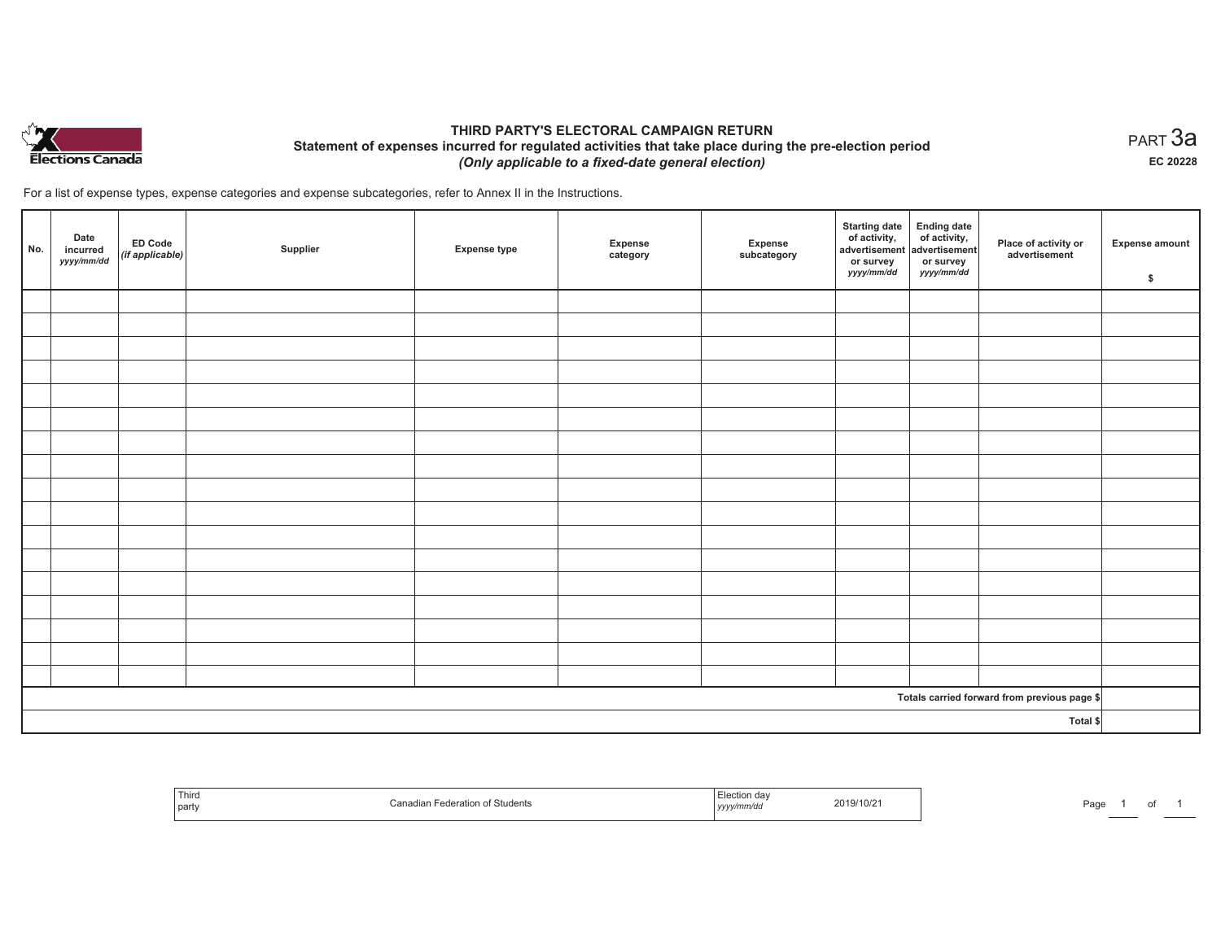

## **THIRD PARTY'S ELECTORAL CAMPAIGN RETURN Statement of expenses incurred for regulated activities that take place during the pre-election period**  *(Only applicable to a fixed-date general election)*

For a list of expense types, expense categories and expense subcategories, refer to Annex II in the Instructions.

| No. | Date<br>incurred<br>yyyy/mm/dd | <b>ED Code</b><br>$($ if applicable $)$ | Supplier | <b>Expense type</b> | Expense<br>category | Expense<br>subcategory | <b>Starting date</b><br>of activity,<br>advertisement<br>or survey<br>yyyy/mm/dd | Ending date<br>of activity,<br>advertisement<br>or survey<br>yyyy/mm/dd | Place of activity or<br>advertisement        | Expense amount<br>\$ |
|-----|--------------------------------|-----------------------------------------|----------|---------------------|---------------------|------------------------|----------------------------------------------------------------------------------|-------------------------------------------------------------------------|----------------------------------------------|----------------------|
|     |                                |                                         |          |                     |                     |                        |                                                                                  |                                                                         |                                              |                      |
|     |                                |                                         |          |                     |                     |                        |                                                                                  |                                                                         |                                              |                      |
|     |                                |                                         |          |                     |                     |                        |                                                                                  |                                                                         |                                              |                      |
|     |                                |                                         |          |                     |                     |                        |                                                                                  |                                                                         |                                              |                      |
|     |                                |                                         |          |                     |                     |                        |                                                                                  |                                                                         |                                              |                      |
|     |                                |                                         |          |                     |                     |                        |                                                                                  |                                                                         |                                              |                      |
|     |                                |                                         |          |                     |                     |                        |                                                                                  |                                                                         |                                              |                      |
|     |                                |                                         |          |                     |                     |                        |                                                                                  |                                                                         |                                              |                      |
|     |                                |                                         |          |                     |                     |                        |                                                                                  |                                                                         |                                              |                      |
|     |                                |                                         |          |                     |                     |                        |                                                                                  |                                                                         |                                              |                      |
|     |                                |                                         |          |                     |                     |                        |                                                                                  |                                                                         |                                              |                      |
|     |                                |                                         |          |                     |                     |                        |                                                                                  |                                                                         |                                              |                      |
|     |                                |                                         |          |                     |                     |                        |                                                                                  |                                                                         |                                              |                      |
|     |                                |                                         |          |                     |                     |                        |                                                                                  |                                                                         |                                              |                      |
|     |                                |                                         |          |                     |                     |                        |                                                                                  |                                                                         |                                              |                      |
|     |                                |                                         |          |                     |                     |                        |                                                                                  |                                                                         |                                              |                      |
|     |                                |                                         |          |                     |                     |                        |                                                                                  |                                                                         |                                              |                      |
|     |                                |                                         |          |                     |                     |                        |                                                                                  |                                                                         | Totals carried forward from previous page \$ |                      |
|     |                                |                                         |          |                     |                     |                        |                                                                                  |                                                                         | Total \$                                     |                      |

| 1 ulte<br>  part | n of Students | ,,,,, | 2019/10/2 <sup>-</sup> | Page |  |  |  |
|------------------|---------------|-------|------------------------|------|--|--|--|
|------------------|---------------|-------|------------------------|------|--|--|--|

 $_{\sf PART}$ 3a **EC 20228**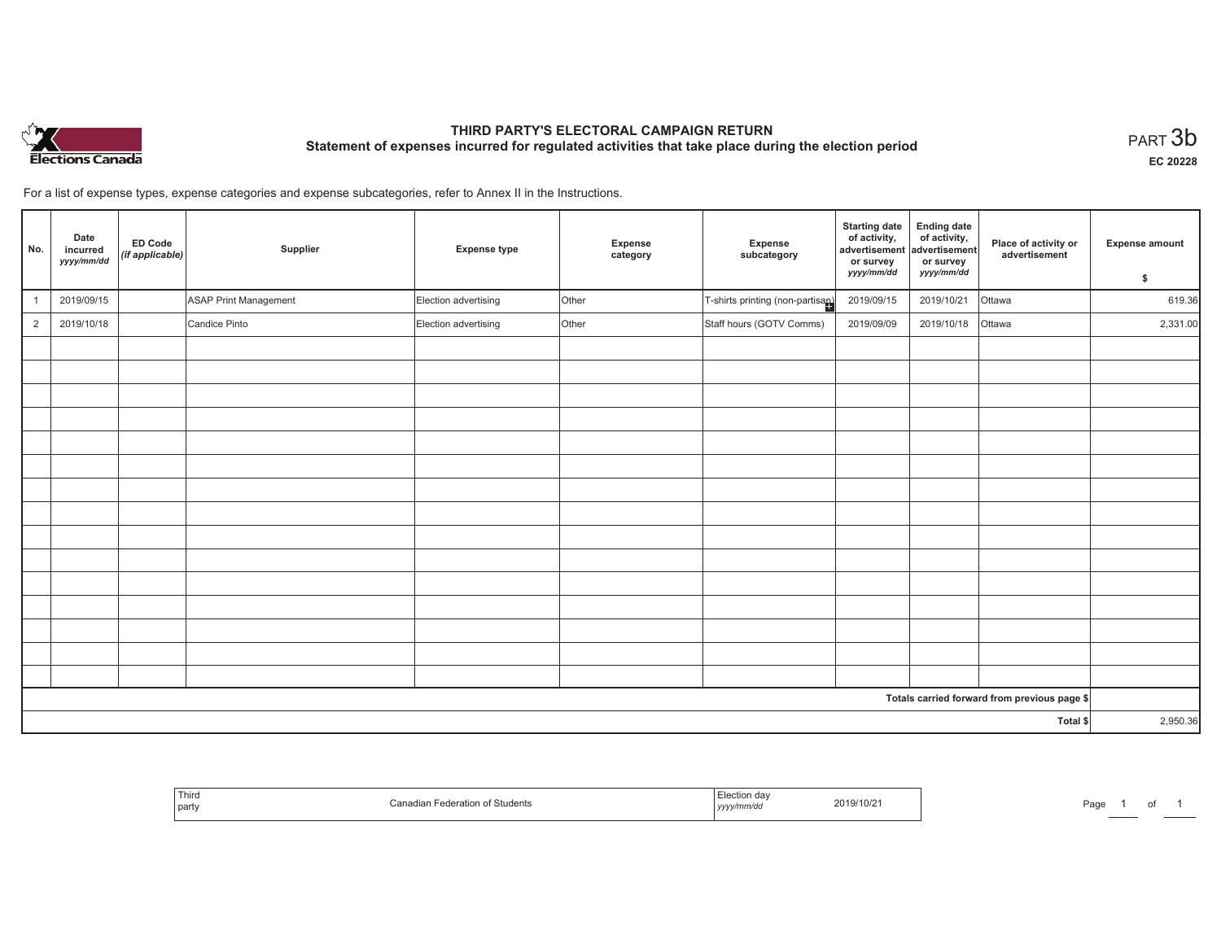

# **THIRD PARTY'S ELECTORAL CAMPAIGN RETURN Statement of expenses incurred for regulated activities that take place during the election period**<br>PART  $3\mathsf{b}$

**EC 20228**

of 1

For a list of expense types, expense categories and expense subcategories, refer to Annex II in the Instructions.

| No.                                          | Date<br>incurred<br>yyyy/mm/dd | <b>ED Code</b><br>(if applicable) | Supplier              | <b>Expense type</b>  | Expense<br>category | Expense<br>subcategory           | <b>Starting date</b><br>of activity,<br>advertisement<br>or survey<br>yyyy/mm/dd | <b>Ending date</b><br>of activity,<br>advertisement<br>or survey<br>yyyy/mm/dd | Place of activity or<br>advertisement | Expense amount |
|----------------------------------------------|--------------------------------|-----------------------------------|-----------------------|----------------------|---------------------|----------------------------------|----------------------------------------------------------------------------------|--------------------------------------------------------------------------------|---------------------------------------|----------------|
|                                              |                                |                                   |                       |                      |                     |                                  |                                                                                  |                                                                                |                                       | \$             |
|                                              | 2019/09/15                     |                                   | ASAP Print Management | Election advertising | Other               | T-shirts printing (non-partisan) | 2019/09/15                                                                       | 2019/10/21                                                                     | Ottawa                                | 619.36         |
| $\overline{2}$                               | 2019/10/18                     |                                   | Candice Pinto         | Election advertising | Other               | Staff hours (GOTV Comms)         | 2019/09/09                                                                       | 2019/10/18                                                                     | Ottawa                                | 2,331.00       |
|                                              |                                |                                   |                       |                      |                     |                                  |                                                                                  |                                                                                |                                       |                |
|                                              |                                |                                   |                       |                      |                     |                                  |                                                                                  |                                                                                |                                       |                |
|                                              |                                |                                   |                       |                      |                     |                                  |                                                                                  |                                                                                |                                       |                |
|                                              |                                |                                   |                       |                      |                     |                                  |                                                                                  |                                                                                |                                       |                |
|                                              |                                |                                   |                       |                      |                     |                                  |                                                                                  |                                                                                |                                       |                |
|                                              |                                |                                   |                       |                      |                     |                                  |                                                                                  |                                                                                |                                       |                |
|                                              |                                |                                   |                       |                      |                     |                                  |                                                                                  |                                                                                |                                       |                |
|                                              |                                |                                   |                       |                      |                     |                                  |                                                                                  |                                                                                |                                       |                |
|                                              |                                |                                   |                       |                      |                     |                                  |                                                                                  |                                                                                |                                       |                |
|                                              |                                |                                   |                       |                      |                     |                                  |                                                                                  |                                                                                |                                       |                |
|                                              |                                |                                   |                       |                      |                     |                                  |                                                                                  |                                                                                |                                       |                |
|                                              |                                |                                   |                       |                      |                     |                                  |                                                                                  |                                                                                |                                       |                |
|                                              |                                |                                   |                       |                      |                     |                                  |                                                                                  |                                                                                |                                       |                |
|                                              |                                |                                   |                       |                      |                     |                                  |                                                                                  |                                                                                |                                       |                |
|                                              |                                |                                   |                       |                      |                     |                                  |                                                                                  |                                                                                |                                       |                |
| Totals carried forward from previous page \$ |                                |                                   |                       |                      |                     |                                  |                                                                                  |                                                                                |                                       |                |
|                                              |                                |                                   |                       |                      |                     |                                  |                                                                                  |                                                                                | Total \$                              | 2,950.36       |

| Third<br>  party | Federation of Students<br>Canadiai | 2019/10/21<br>  yyyy/mm/dd<br>the contract of the contract of the contract of the contract of the contract of | Page |
|------------------|------------------------------------|---------------------------------------------------------------------------------------------------------------|------|
|------------------|------------------------------------|---------------------------------------------------------------------------------------------------------------|------|